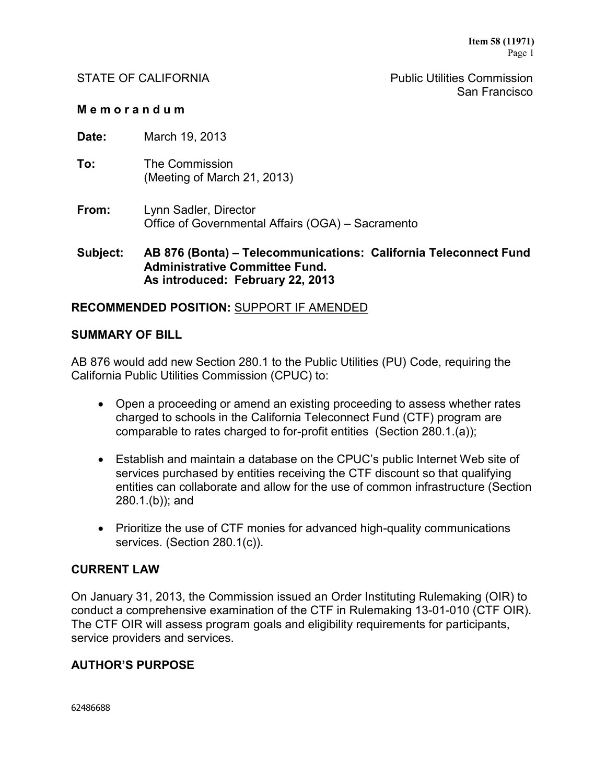STATE OF CALIFORNIA **Public Utilities Commission** San Francisco

### **M e m o r a n d u m**

**Date:** March 19, 2013

- **To:** The Commission (Meeting of March 21, 2013)
- **From:** Lynn Sadler, Director Office of Governmental Affairs (OGA) – Sacramento

**Subject: AB 876 (Bonta) – Telecommunications: California Teleconnect Fund Administrative Committee Fund. As introduced: February 22, 2013**

## **RECOMMENDED POSITION:** SUPPORT IF AMENDED

### **SUMMARY OF BILL**

AB 876 would add new Section 280.1 to the Public Utilities (PU) Code, requiring the California Public Utilities Commission (CPUC) to:

- Open a proceeding or amend an existing proceeding to assess whether rates charged to schools in the California Teleconnect Fund (CTF) program are comparable to rates charged to for-profit entities (Section 280.1.(a));
- Establish and maintain a database on the CPUC's public Internet Web site of services purchased by entities receiving the CTF discount so that qualifying entities can collaborate and allow for the use of common infrastructure (Section 280.1.(b)); and
- Prioritize the use of CTF monies for advanced high-quality communications services. (Section 280.1(c)).

### **CURRENT LAW**

On January 31, 2013, the Commission issued an Order Instituting Rulemaking (OIR) to conduct a comprehensive examination of the CTF in Rulemaking 13-01-010 (CTF OIR). The CTF OIR will assess program goals and eligibility requirements for participants, service providers and services.

### **AUTHOR'S PURPOSE**

62486688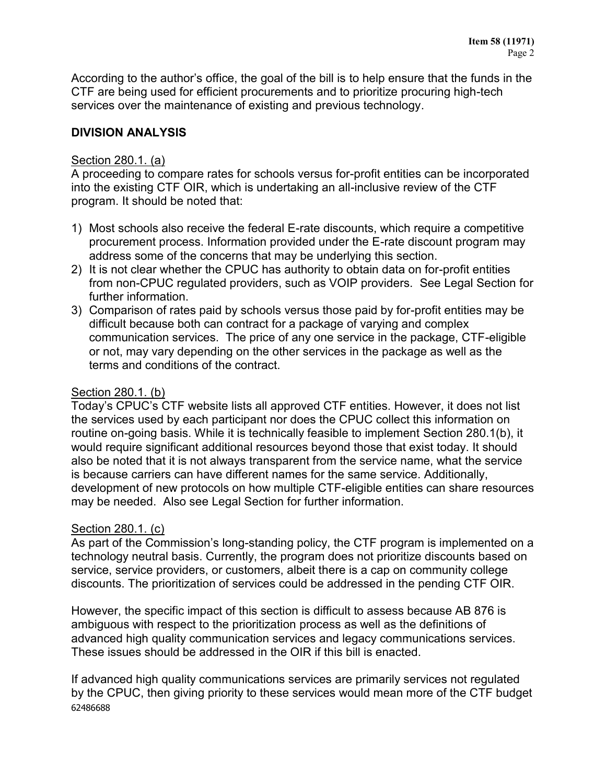According to the author's office, the goal of the bill is to help ensure that the funds in the CTF are being used for efficient procurements and to prioritize procuring high-tech services over the maintenance of existing and previous technology.

# **DIVISION ANALYSIS**

# Section 280.1. (a)

A proceeding to compare rates for schools versus for-profit entities can be incorporated into the existing CTF OIR, which is undertaking an all-inclusive review of the CTF program. It should be noted that:

- 1) Most schools also receive the federal E-rate discounts, which require a competitive procurement process. Information provided under the E-rate discount program may address some of the concerns that may be underlying this section.
- 2) It is not clear whether the CPUC has authority to obtain data on for-profit entities from non-CPUC regulated providers, such as VOIP providers. See Legal Section for further information.
- 3) Comparison of rates paid by schools versus those paid by for-profit entities may be difficult because both can contract for a package of varying and complex communication services. The price of any one service in the package, CTF-eligible or not, may vary depending on the other services in the package as well as the terms and conditions of the contract.

# Section 280.1. (b)

Today's CPUC's CTF website lists all approved CTF entities. However, it does not list the services used by each participant nor does the CPUC collect this information on routine on-going basis. While it is technically feasible to implement Section 280.1(b), it would require significant additional resources beyond those that exist today. It should also be noted that it is not always transparent from the service name, what the service is because carriers can have different names for the same service. Additionally, development of new protocols on how multiple CTF-eligible entities can share resources may be needed. Also see Legal Section for further information.

# Section 280.1. (c)

As part of the Commission's long-standing policy, the CTF program is implemented on a technology neutral basis. Currently, the program does not prioritize discounts based on service, service providers, or customers, albeit there is a cap on community college discounts. The prioritization of services could be addressed in the pending CTF OIR.

However, the specific impact of this section is difficult to assess because AB 876 is ambiguous with respect to the prioritization process as well as the definitions of advanced high quality communication services and legacy communications services. These issues should be addressed in the OIR if this bill is enacted.

62486688 If advanced high quality communications services are primarily services not regulated by the CPUC, then giving priority to these services would mean more of the CTF budget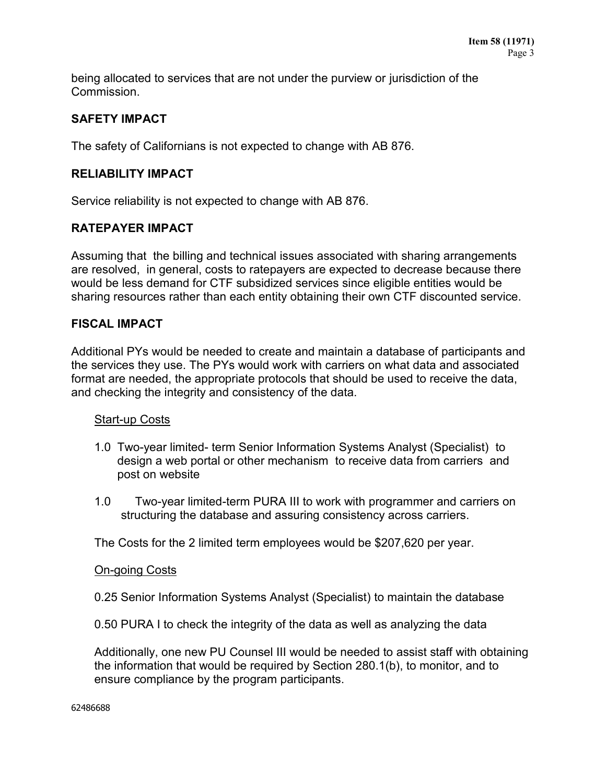being allocated to services that are not under the purview or jurisdiction of the Commission.

# **SAFETY IMPACT**

The safety of Californians is not expected to change with AB 876.

# **RELIABILITY IMPACT**

Service reliability is not expected to change with AB 876.

# **RATEPAYER IMPACT**

Assuming that the billing and technical issues associated with sharing arrangements are resolved, in general, costs to ratepayers are expected to decrease because there would be less demand for CTF subsidized services since eligible entities would be sharing resources rather than each entity obtaining their own CTF discounted service.

# **FISCAL IMPACT**

Additional PYs would be needed to create and maintain a database of participants and the services they use. The PYs would work with carriers on what data and associated format are needed, the appropriate protocols that should be used to receive the data, and checking the integrity and consistency of the data.

# Start-up Costs

- 1.0 Two-year limited- term Senior Information Systems Analyst (Specialist) to design a web portal or other mechanism to receive data from carriers and post on website
- 1.0 Two-year limited-term PURA III to work with programmer and carriers on structuring the database and assuring consistency across carriers.

The Costs for the 2 limited term employees would be \$207,620 per year.

### On-going Costs

0.25 Senior Information Systems Analyst (Specialist) to maintain the database

0.50 PURA I to check the integrity of the data as well as analyzing the data

Additionally, one new PU Counsel III would be needed to assist staff with obtaining the information that would be required by Section 280.1(b), to monitor, and to ensure compliance by the program participants.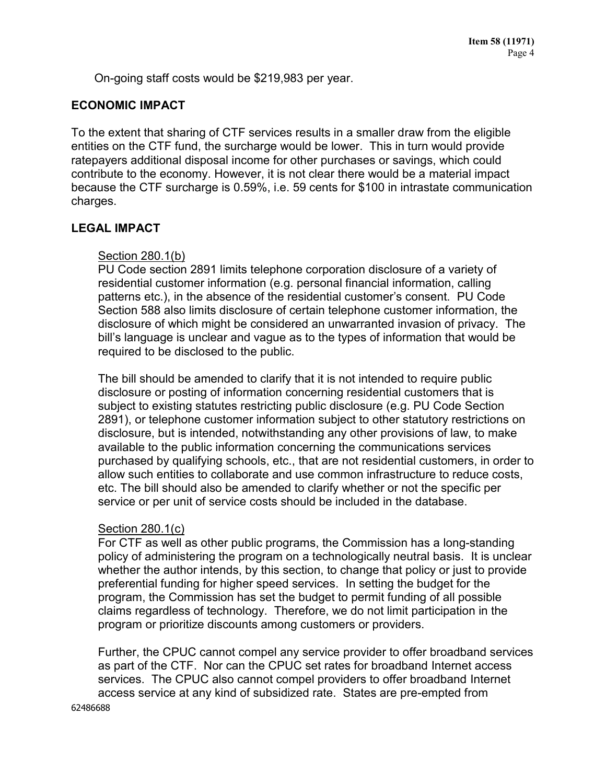On-going staff costs would be \$219,983 per year.

## **ECONOMIC IMPACT**

To the extent that sharing of CTF services results in a smaller draw from the eligible entities on the CTF fund, the surcharge would be lower. This in turn would provide ratepayers additional disposal income for other purchases or savings, which could contribute to the economy. However, it is not clear there would be a material impact because the CTF surcharge is 0.59%, i.e. 59 cents for \$100 in intrastate communication charges.

## **LEGAL IMPACT**

### Section 280.1(b)

PU Code section 2891 limits telephone corporation disclosure of a variety of residential customer information (e.g. personal financial information, calling patterns etc.), in the absence of the residential customer's consent. PU Code Section 588 also limits disclosure of certain telephone customer information, the disclosure of which might be considered an unwarranted invasion of privacy. The bill's language is unclear and vague as to the types of information that would be required to be disclosed to the public.

The bill should be amended to clarify that it is not intended to require public disclosure or posting of information concerning residential customers that is subject to existing statutes restricting public disclosure (e.g. PU Code Section 2891), or telephone customer information subject to other statutory restrictions on disclosure, but is intended, notwithstanding any other provisions of law, to make available to the public information concerning the communications services purchased by qualifying schools, etc., that are not residential customers, in order to allow such entities to collaborate and use common infrastructure to reduce costs, etc. The bill should also be amended to clarify whether or not the specific per service or per unit of service costs should be included in the database.

### Section 280.1(c)

For CTF as well as other public programs, the Commission has a long-standing policy of administering the program on a technologically neutral basis. It is unclear whether the author intends, by this section, to change that policy or just to provide preferential funding for higher speed services. In setting the budget for the program, the Commission has set the budget to permit funding of all possible claims regardless of technology. Therefore, we do not limit participation in the program or prioritize discounts among customers or providers.

Further, the CPUC cannot compel any service provider to offer broadband services as part of the CTF. Nor can the CPUC set rates for broadband Internet access services. The CPUC also cannot compel providers to offer broadband Internet access service at any kind of subsidized rate. States are pre-empted from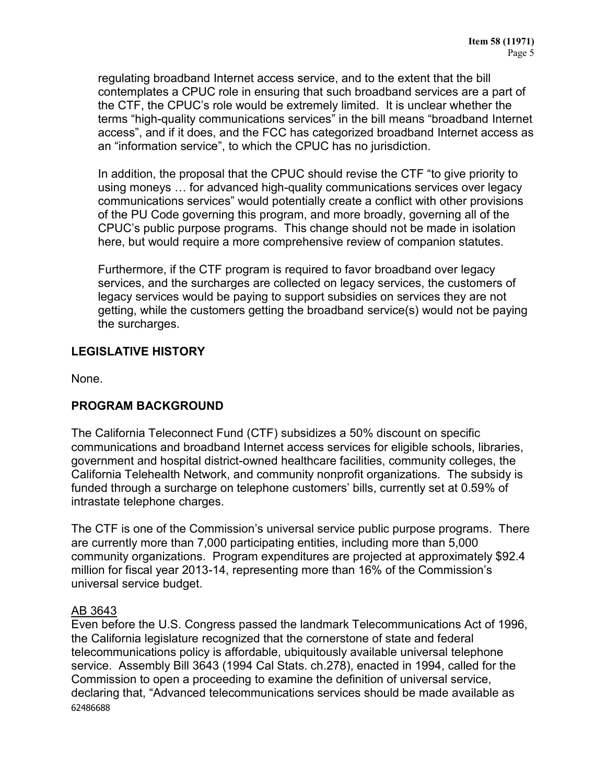regulating broadband Internet access service, and to the extent that the bill contemplates a CPUC role in ensuring that such broadband services are a part of the CTF, the CPUC's role would be extremely limited. It is unclear whether the terms "high-quality communications services" in the bill means "broadband Internet access", and if it does, and the FCC has categorized broadband Internet access as an "information service", to which the CPUC has no jurisdiction.

In addition, the proposal that the CPUC should revise the CTF "to give priority to using moneys … for advanced high-quality communications services over legacy communications services" would potentially create a conflict with other provisions of the PU Code governing this program, and more broadly, governing all of the CPUC's public purpose programs. This change should not be made in isolation here, but would require a more comprehensive review of companion statutes.

Furthermore, if the CTF program is required to favor broadband over legacy services, and the surcharges are collected on legacy services, the customers of legacy services would be paying to support subsidies on services they are not getting, while the customers getting the broadband service(s) would not be paying the surcharges.

# **LEGISLATIVE HISTORY**

None.

# **PROGRAM BACKGROUND**

The California Teleconnect Fund (CTF) subsidizes a 50% discount on specific communications and broadband Internet access services for eligible schools, libraries, government and hospital district-owned healthcare facilities, community colleges, the California Telehealth Network, and community nonprofit organizations. The subsidy is funded through a surcharge on telephone customers' bills, currently set at 0.59% of intrastate telephone charges.

The CTF is one of the Commission's universal service public purpose programs. There are currently more than 7,000 participating entities, including more than 5,000 community organizations. Program expenditures are projected at approximately \$92.4 million for fiscal year 2013-14, representing more than 16% of the Commission's universal service budget.

# AB 3643

62486688 Even before the U.S. Congress passed the landmark Telecommunications Act of 1996, the California legislature recognized that the cornerstone of state and federal telecommunications policy is affordable, ubiquitously available universal telephone service. Assembly Bill 3643 (1994 Cal Stats. ch.278), enacted in 1994, called for the Commission to open a proceeding to examine the definition of universal service, declaring that, "Advanced telecommunications services should be made available as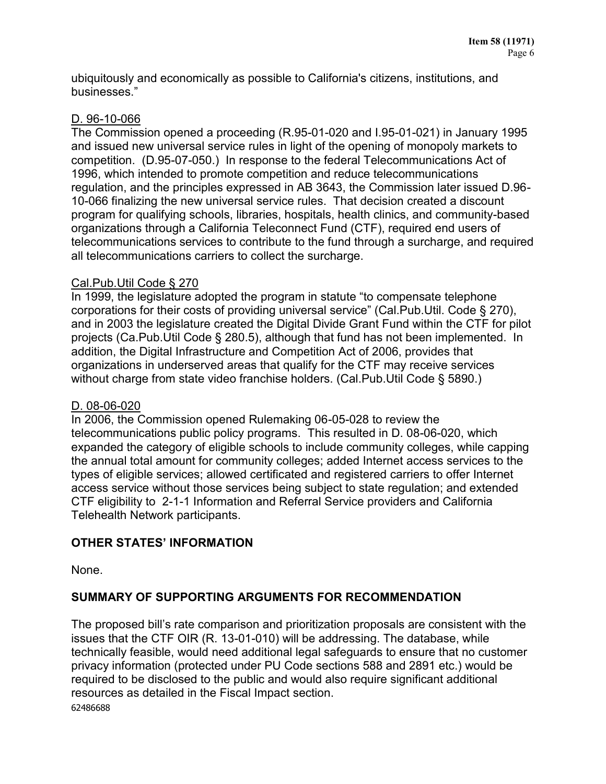ubiquitously and economically as possible to California's citizens, institutions, and businesses."

# D. 96-10-066

The Commission opened a proceeding (R.95-01-020 and I.95-01-021) in January 1995 and issued new universal service rules in light of the opening of monopoly markets to competition. (D.95-07-050.) In response to the federal Telecommunications Act of 1996, which intended to promote competition and reduce telecommunications regulation, and the principles expressed in AB 3643, the Commission later issued D.96- 10-066 finalizing the new universal service rules. That decision created a discount program for qualifying schools, libraries, hospitals, health clinics, and community-based organizations through a California Teleconnect Fund (CTF), required end users of telecommunications services to contribute to the fund through a surcharge, and required all telecommunications carriers to collect the surcharge.

# Cal.Pub.Util Code § 270

In 1999, the legislature adopted the program in statute "to compensate telephone corporations for their costs of providing universal service" (Cal.Pub.Util. Code § 270), and in 2003 the legislature created the Digital Divide Grant Fund within the CTF for pilot projects (Ca.Pub.Util Code § 280.5), although that fund has not been implemented. In addition, the Digital Infrastructure and Competition Act of 2006, provides that organizations in underserved areas that qualify for the CTF may receive services without charge from state video franchise holders. (Cal.Pub.Util Code § 5890.)

# D. 08-06-020

In 2006, the Commission opened Rulemaking 06-05-028 to review the telecommunications public policy programs. This resulted in D. 08-06-020, which expanded the category of eligible schools to include community colleges, while capping the annual total amount for community colleges; added Internet access services to the types of eligible services; allowed certificated and registered carriers to offer Internet access service without those services being subject to state regulation; and extended CTF eligibility to 2-1-1 Information and Referral Service providers and California Telehealth Network participants.

# **OTHER STATES' INFORMATION**

None.

# **SUMMARY OF SUPPORTING ARGUMENTS FOR RECOMMENDATION**

62486688 The proposed bill's rate comparison and prioritization proposals are consistent with the issues that the CTF OIR (R. 13-01-010) will be addressing. The database, while technically feasible, would need additional legal safeguards to ensure that no customer privacy information (protected under PU Code sections 588 and 2891 etc.) would be required to be disclosed to the public and would also require significant additional resources as detailed in the Fiscal Impact section.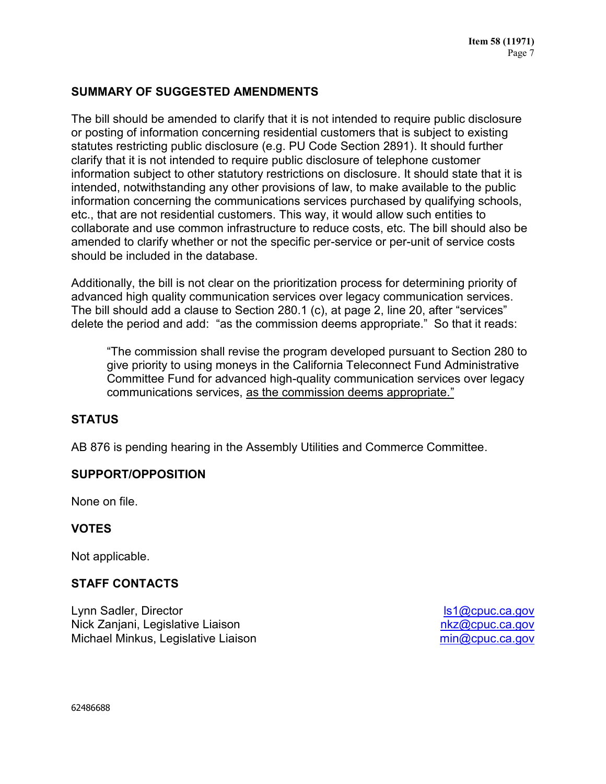# **SUMMARY OF SUGGESTED AMENDMENTS**

The bill should be amended to clarify that it is not intended to require public disclosure or posting of information concerning residential customers that is subject to existing statutes restricting public disclosure (e.g. PU Code Section 2891). It should further clarify that it is not intended to require public disclosure of telephone customer information subject to other statutory restrictions on disclosure. It should state that it is intended, notwithstanding any other provisions of law, to make available to the public information concerning the communications services purchased by qualifying schools, etc., that are not residential customers. This way, it would allow such entities to collaborate and use common infrastructure to reduce costs, etc. The bill should also be amended to clarify whether or not the specific per-service or per-unit of service costs should be included in the database.

Additionally, the bill is not clear on the prioritization process for determining priority of advanced high quality communication services over legacy communication services. The bill should add a clause to Section 280.1 (c), at page 2, line 20, after "services" delete the period and add: "as the commission deems appropriate." So that it reads:

"The commission shall revise the program developed pursuant to Section 280 to give priority to using moneys in the California Teleconnect Fund Administrative Committee Fund for advanced high-quality communication services over legacy communications services, as the commission deems appropriate."

# **STATUS**

AB 876 is pending hearing in the Assembly Utilities and Commerce Committee.

### **SUPPORT/OPPOSITION**

None on file.

### **VOTES**

Not applicable.

# **STAFF CONTACTS**

Lynn Sadler, Director Nick Zanjani, Legislative Liaison Michael Minkus, Legislative Liaison

[ls1@cpuc.ca.gov](mailto:ls1@cpuc.ca.gov) [nkz@cpuc.ca.gov](mailto:nkz@cpuc.ca.gov) [min@cpuc.ca.gov](mailto:min@cpuc.ca.gov)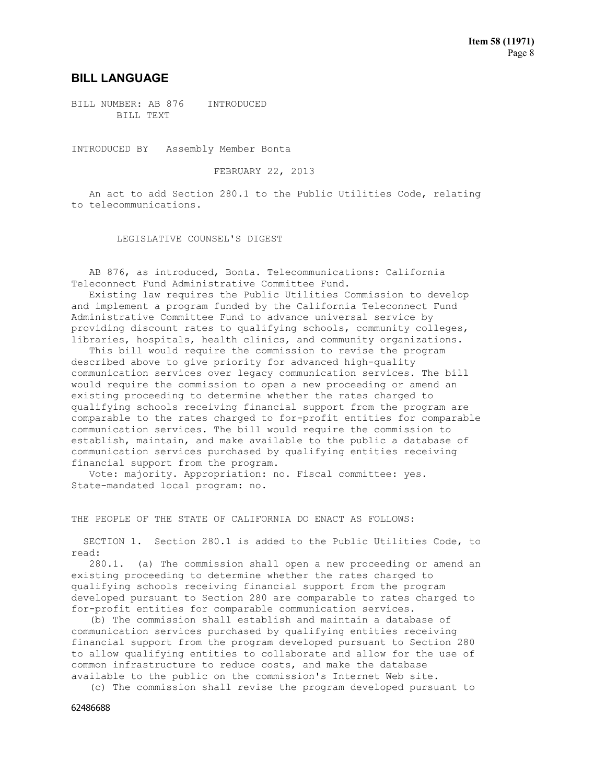#### **BILL LANGUAGE**

BILL NUMBER: AB 876 INTRODUCED BILL TEXT

INTRODUCED BY Assembly Member Bonta

FEBRUARY 22, 2013

 An act to add Section 280.1 to the Public Utilities Code, relating to telecommunications.

LEGISLATIVE COUNSEL'S DIGEST

 AB 876, as introduced, Bonta. Telecommunications: California Teleconnect Fund Administrative Committee Fund.

 Existing law requires the Public Utilities Commission to develop and implement a program funded by the California Teleconnect Fund Administrative Committee Fund to advance universal service by providing discount rates to qualifying schools, community colleges, libraries, hospitals, health clinics, and community organizations.

 This bill would require the commission to revise the program described above to give priority for advanced high-quality communication services over legacy communication services. The bill would require the commission to open a new proceeding or amend an existing proceeding to determine whether the rates charged to qualifying schools receiving financial support from the program are comparable to the rates charged to for-profit entities for comparable communication services. The bill would require the commission to establish, maintain, and make available to the public a database of communication services purchased by qualifying entities receiving financial support from the program.

 Vote: majority. Appropriation: no. Fiscal committee: yes. State-mandated local program: no.

THE PEOPLE OF THE STATE OF CALIFORNIA DO ENACT AS FOLLOWS:

 SECTION 1. Section 280.1 is added to the Public Utilities Code, to read:

 280.1. (a) The commission shall open a new proceeding or amend an existing proceeding to determine whether the rates charged to qualifying schools receiving financial support from the program developed pursuant to Section 280 are comparable to rates charged to for-profit entities for comparable communication services.

 (b) The commission shall establish and maintain a database of communication services purchased by qualifying entities receiving financial support from the program developed pursuant to Section 280 to allow qualifying entities to collaborate and allow for the use of common infrastructure to reduce costs, and make the database available to the public on the commission's Internet Web site.

(c) The commission shall revise the program developed pursuant to

62486688